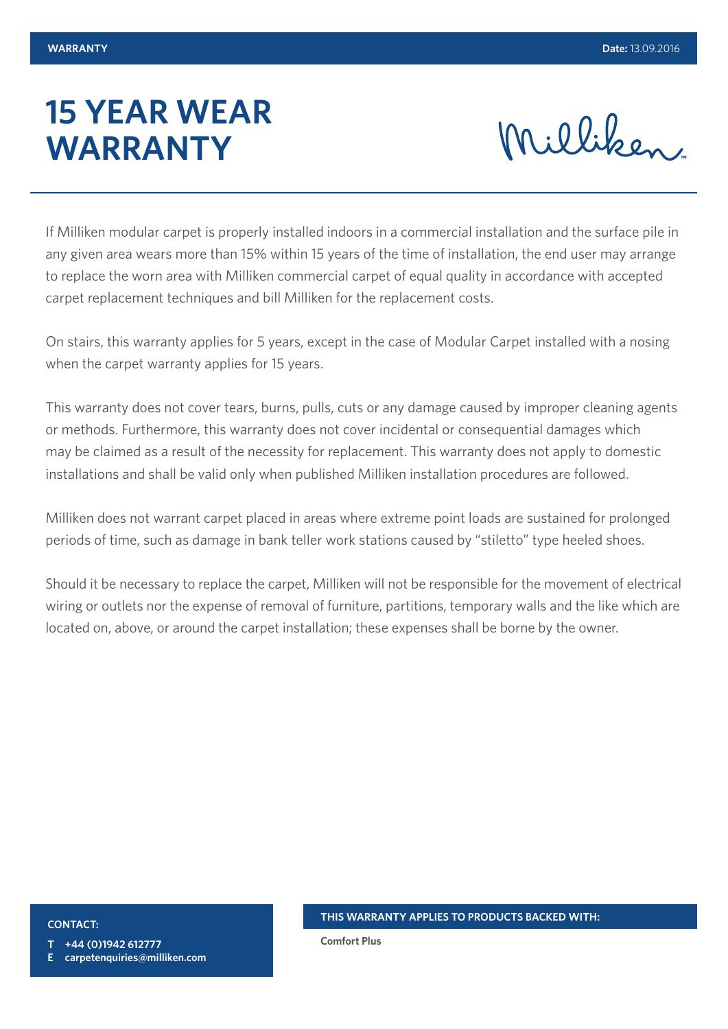# **15 YEAR WEAR WARRANTY**

Milliken

If Milliken modular carpet is properly installed indoors in a commercial installation and the surface pile in any given area wears more than 15% within 15 years of the time of installation, the end user may arrange to replace the worn area with Milliken commercial carpet of equal quality in accordance with accepted carpet replacement techniques and bill Milliken for the replacement costs.

On stairs, this warranty applies for 5 years, except in the case of Modular Carpet installed with a nosing when the carpet warranty applies for 15 years.

This warranty does not cover tears, burns, pulls, cuts or any damage caused by improper cleaning agents or methods. Furthermore, this warranty does not cover incidental or consequential damages which may be claimed as a result of the necessity for replacement. This warranty does not apply to domestic installations and shall be valid only when published Milliken installation procedures are followed.

Milliken does not warrant carpet placed in areas where extreme point loads are sustained for prolonged periods of time, such as damage in bank teller work stations caused by "stiletto" type heeled shoes.

Should it be necessary to replace the carpet, Milliken will not be responsible for the movement of electrical wiring or outlets nor the expense of removal of furniture, partitions, temporary walls and the like which are located on, above, or around the carpet installation; these expenses shall be borne by the owner.

#### **CONTACT:**

**T +44 (0)1942 612777**

**E carpetenquiries@milliken.com**

**THIS WARRANTY APPLIES TO PRODUCTS BACKED WITH:**

**Comfort Plus**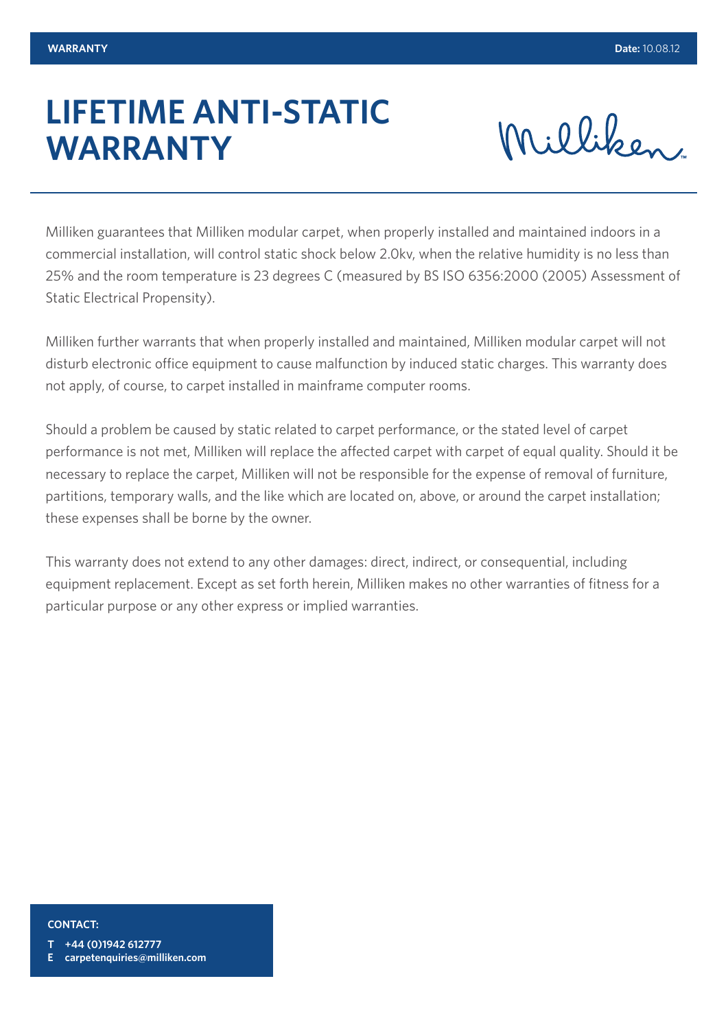### **LIFETIME ANTI-STATIC WARRANTY**

Milliken

Milliken guarantees that Milliken modular carpet, when properly installed and maintained indoors in a commercial installation, will control static shock below 2.0kv, when the relative humidity is no less than 25% and the room temperature is 23 degrees C (measured by BS ISO 6356:2000 (2005) Assessment of Static Electrical Propensity).

Milliken further warrants that when properly installed and maintained, Milliken modular carpet will not disturb electronic office equipment to cause malfunction by induced static charges. This warranty does not apply, of course, to carpet installed in mainframe computer rooms.

Should a problem be caused by static related to carpet performance, or the stated level of carpet performance is not met, Milliken will replace the affected carpet with carpet of equal quality. Should it be necessary to replace the carpet, Milliken will not be responsible for the expense of removal of furniture, partitions, temporary walls, and the like which are located on, above, or around the carpet installation; these expenses shall be borne by the owner.

This warranty does not extend to any other damages: direct, indirect, or consequential, including equipment replacement. Except as set forth herein, Milliken makes no other warranties of fitness for a particular purpose or any other express or implied warranties.

### **CONTACT:**

**T +44 (0)1942 612777**

**E carpetenquiries@milliken.com**